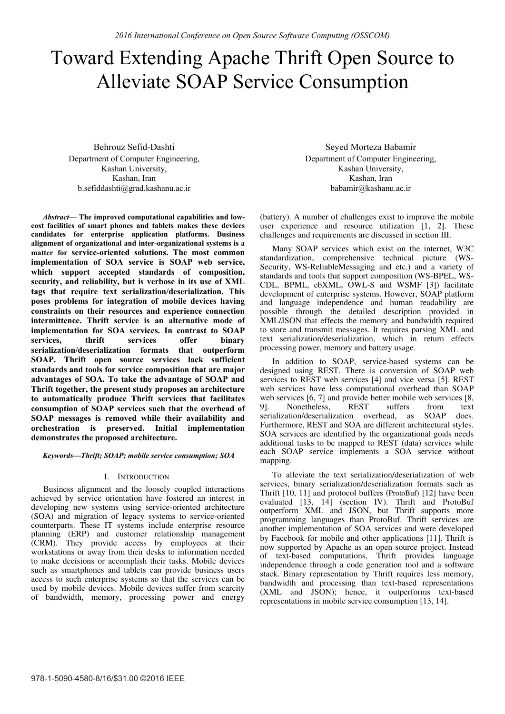# Toward Extending Apache Thrift Open Source to Alleviate SOAP Service Consumption

Behrouz Sefid-Dashti Department of Computer Engineering, Kashan University, Kashan, Iran b.sefiddashti@grad.kashanu.ac.ir

*Abstract***— The improved computational capabilities and lowcost facilities of smart phones and tablets makes these devices candidates for enterprise application platforms. Business alignment of organizational and inter-organizational systems is a matter for service-oriented solutions. The most common implementation of SOA service is SOAP web service, which support accepted standards of composition, security, and reliability, but is verbose in its use of XML tags that require text serialization/deserialization. This poses problems for integration of mobile devices having constraints on their resources and experience connection intermittence. Thrift service is an alternative mode of implementation for SOA services. In contrast to SOAP services, thrift services offer binary serialization/deserialization formats that outperform SOAP. Thrift open source services lack sufficient standards and tools for service composition that are major advantages of SOA. To take the advantage of SOAP and Thrift together, the present study proposes an architecture to automatically produce Thrift services that facilitates consumption of SOAP services such that the overhead of SOAP messages is removed while their availability and orchestration is preserved. Initial implementation demonstrates the proposed architecture.** 

#### *Keywords—Thrift; SOAP; mobile service consumption; SOA*

#### I. INTRODUCTION

Business alignment and the loosely coupled interactions achieved by service orientation have fostered an interest in developing new systems using service-oriented architecture (SOA) and migration of legacy systems to service-oriented counterparts. These IT systems include enterprise resource planning (ERP) and customer relationship management (CRM). They provide access by employees at their workstations or away from their desks to information needed to make decisions or accomplish their tasks. Mobile devices such as smartphones and tablets can provide business users access to such enterprise systems so that the services can be used by mobile devices. Mobile devices suffer from scarcity of bandwidth, memory, processing power and energy

Seyed Morteza Babamir Department of Computer Engineering, Kashan University, Kashan, Iran babamir@kashanu.ac.ir

(battery). A number of challenges exist to improve the mobile user experience and resource utilization [1, 2]. These challenges and requirements are discussed in section III.

Many SOAP services which exist on the internet, W3C standardization, comprehensive technical picture (WS-Security, WS-ReliableMessaging and etc.) and a variety of standards and tools that support composition (WS-BPEL, WS-CDL, BPML, ebXML, OWL-S and WSMF [3]) facilitate development of enterprise systems. However, SOAP platform and language independence and human readability are possible through the detailed description provided in XML/JSON that effects the memory and bandwidth required to store and transmit messages. It requires parsing XML and text serialization/deserialization, which in return effects processing power, memory and battery usage.

In addition to SOAP, service-based systems can be designed using REST. There is conversion of SOAP web services to REST web services [4] and vice versa [5]. REST web services have less computational overhead than SOAP web services [6, 7] and provide better mobile web services [8, 9]. Nonetheless, REST suffers from text 9]. Nonetheless, REST suffers from text serialization/deserialization overhead, as SOAP does. Furthermore, REST and SOA are different architectural styles. SOA services are identified by the organizational goals needs additional tasks to be mapped to REST (data) services while each SOAP service implements a SOA service without mapping.

To alleviate the text serialization/deserialization of web services, binary serialization/deserialization formats such as Thrift [10, 11] and protocol buffers (ProtoBuf) [12] have been evaluated [13, 14] (section IV). Thrift and ProtoBuf outperform XML and JSON, but Thrift supports more programming languages than ProtoBuf. Thrift services are another implementation of SOA services and were developed by Facebook for mobile and other applications [11]. Thrift is now supported by Apache as an open source project. Instead of text-based computations, Thrift provides language independence through a code generation tool and a software stack. Binary representation by Thrift requires less memory, bandwidth and processing than text-based representations (XML and JSON); hence, it outperforms text-based representations in mobile service consumption [13, 14].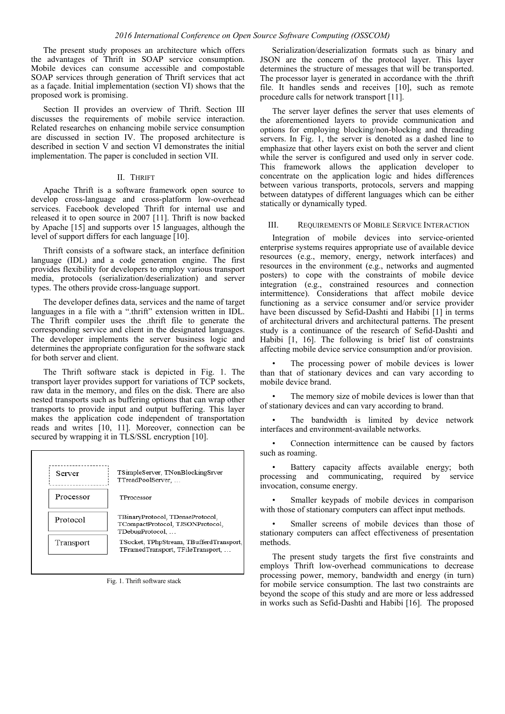The present study proposes an architecture which offers the advantages of Thrift in SOAP service consumption. Mobile devices can consume accessible and compostable SOAP services through generation of Thrift services that act as a façade. Initial implementation (section VI) shows that the proposed work is promising.

Section II provides an overview of Thrift. Section III discusses the requirements of mobile service interaction. Related researches on enhancing mobile service consumption are discussed in section IV. The proposed architecture is described in section V and section VI demonstrates the initial implementation. The paper is concluded in section VII.

## II. THRIFT

Apache Thrift is a software framework open source to develop cross-language and cross-platform low-overhead services. Facebook developed Thrift for internal use and released it to open source in 2007 [11]. Thrift is now backed by Apache [15] and supports over 15 languages, although the level of support differs for each language [10].

Thrift consists of a software stack, an interface definition language (IDL) and a code generation engine. The first provides flexibility for developers to employ various transport media, protocols (serialization/deserialization) and server types. The others provide cross-language support.

The developer defines data, services and the name of target languages in a file with a ".thrift" extension written in IDL. The Thrift compiler uses the .thrift file to generate the corresponding service and client in the designated languages. The developer implements the server business logic and determines the appropriate configuration for the software stack for both server and client.

The Thrift software stack is depicted in Fig. 1. The transport layer provides support for variations of TCP sockets, raw data in the memory, and files on the disk. There are also nested transports such as buffering options that can wrap other transports to provide input and output buffering. This layer makes the application code independent of transportation reads and writes [10, 11]. Moreover, connection can be secured by wrapping it in TLS/SSL encryption [10].

| Server    | TSimpleServer, TNonBlockingSrver<br>TTreadPoolServer,                                  |
|-----------|----------------------------------------------------------------------------------------|
| Processor | TProcessor                                                                             |
| Protocol  | TBinaryProtocol, TDenseProtocol,<br>TCompactProtocol, TJSONProtocol,<br>TDebugProtocol |
| Transport | TSocket, TPhpStream, TBufferdTransport,<br>TFramedTransport, TFileTransport,           |

Fig. 1. Thrift software stack

 Serialization/deserialization formats such as binary and JSON are the concern of the protocol layer. This layer determines the structure of messages that will be transported. The processor layer is generated in accordance with the .thrift file. It handles sends and receives [10], such as remote procedure calls for network transport [11].

The server layer defines the server that uses elements of the aforementioned layers to provide communication and options for employing blocking/non-blocking and threading servers. In Fig. 1, the server is denoted as a dashed line to emphasize that other layers exist on both the server and client while the server is configured and used only in server code. This framework allows the application developer to concentrate on the application logic and hides differences between various transports, protocols, servers and mapping between datatypes of different languages which can be either statically or dynamically typed.

#### III. REQUIREMENTS OF MOBILE SERVICE INTERACTION

Integration of mobile devices into service-oriented enterprise systems requires appropriate use of available device resources (e.g., memory, energy, network interfaces) and resources in the environment (e.g., networks and augmented posters) to cope with the constraints of mobile device integration (e.g., constrained resources and connection intermittence). Considerations that affect mobile device functioning as a service consumer and/or service provider have been discussed by Sefid-Dashti and Habibi [1] in terms of architectural drivers and architectural patterns. The present study is a continuance of the research of Sefid-Dashti and Habibi [1, 16]. The following is brief list of constraints affecting mobile device service consumption and/or provision.

The processing power of mobile devices is lower than that of stationary devices and can vary according to mobile device brand.

The memory size of mobile devices is lower than that of stationary devices and can vary according to brand.

• The bandwidth is limited by device network interfaces and environment-available networks.

Connection intermittence can be caused by factors such as roaming.

Battery capacity affects available energy; both processing and communicating, required by service invocation, consume energy.

Smaller keypads of mobile devices in comparison with those of stationary computers can affect input methods.

Smaller screens of mobile devices than those of stationary computers can affect effectiveness of presentation methods.

The present study targets the first five constraints and employs Thrift low-overhead communications to decrease processing power, memory, bandwidth and energy (in turn) for mobile service consumption. The last two constraints are beyond the scope of this study and are more or less addressed in works such as Sefid-Dashti and Habibi [16]. The proposed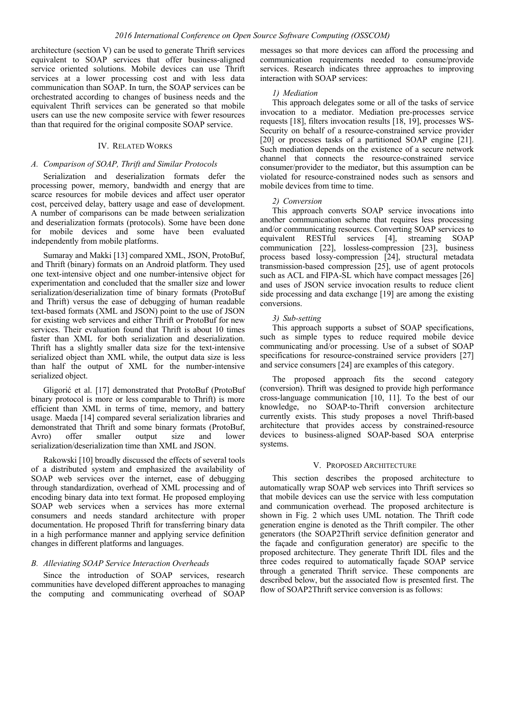architecture (section V) can be used to generate Thrift services equivalent to SOAP services that offer business-aligned service oriented solutions. Mobile devices can use Thrift services at a lower processing cost and with less data communication than SOAP. In turn, the SOAP services can be orchestrated according to changes of business needs and the equivalent Thrift services can be generated so that mobile users can use the new composite service with fewer resources than that required for the original composite SOAP service.

# IV. RELATED WORKS

# *A. Comparison of SOAP, Thrift and Similar Protocols*

Serialization and deserialization formats defer the processing power, memory, bandwidth and energy that are scarce resources for mobile devices and affect user operator cost, perceived delay, battery usage and ease of development. A number of comparisons can be made between serialization and deserialization formats (protocols). Some have been done for mobile devices and some have been evaluated independently from mobile platforms.

Sumaray and Makki [13] compared XML, JSON, ProtoBuf, and Thrift (binary) formats on an Android platform. They used one text-intensive object and one number-intensive object for experimentation and concluded that the smaller size and lower serialization/deserialization time of binary formats (ProtoBuf and Thrift) versus the ease of debugging of human readable text-based formats (XML and JSON) point to the use of JSON for existing web services and either Thrift or ProtoBuf for new services. Their evaluation found that Thrift is about 10 times faster than XML for both serialization and deserialization. Thrift has a slightly smaller data size for the text-intensive serialized object than XML while, the output data size is less than half the output of XML for the number-intensive serialized object.

Gligorić et al. [17] demonstrated that ProtoBuf (ProtoBuf binary protocol is more or less comparable to Thrift) is more efficient than XML in terms of time, memory, and battery usage. Maeda [14] compared several serialization libraries and demonstrated that Thrift and some binary formats (ProtoBuf, Avro) offer smaller output size and lower serialization/deserialization time than XML and JSON.

Rakowski [10] broadly discussed the effects of several tools of a distributed system and emphasized the availability of SOAP web services over the internet, ease of debugging through standardization, overhead of XML processing and of encoding binary data into text format. He proposed employing SOAP web services when a services has more external consumers and needs standard architecture with proper documentation. He proposed Thrift for transferring binary data in a high performance manner and applying service definition changes in different platforms and languages.

# *B. Alleviating SOAP Service Interaction Overheads*

Since the introduction of SOAP services, research communities have developed different approaches to managing the computing and communicating overhead of SOAP messages so that more devices can afford the processing and communication requirements needed to consume/provide services. Research indicates three approaches to improving interaction with SOAP services:

# *1) Mediation*

This approach delegates some or all of the tasks of service invocation to a mediator. Mediation pre-processes service requests [18], filters invocation results [18, 19], processes WS-Security on behalf of a resource-constrained service provider [20] or processes tasks of a partitioned SOAP engine [21]. Such mediation depends on the existence of a secure network channel that connects the resource-constrained service consumer/provider to the mediator, but this assumption can be violated for resource-constrained nodes such as sensors and mobile devices from time to time.

## *2) Conversion*

This approach converts SOAP service invocations into another communication scheme that requires less processing and/or communicating resources. Converting SOAP services to equivalent RESTful services [4], streaming SOAP communication [22], lossless-compression [23], business process based lossy-compression [24], structural metadata transmission-based compression [25], use of agent protocols such as ACL and FIPA-SL which have compact messages [26] and uses of JSON service invocation results to reduce client side processing and data exchange [19] are among the existing conversions.

# *3) Sub-setting*

This approach supports a subset of SOAP specifications, such as simple types to reduce required mobile device communicating and/or processing. Use of a subset of SOAP specifications for resource-constrained service providers [27] and service consumers [24] are examples of this category.

The proposed approach fits the second category (conversion). Thrift was designed to provide high performance cross-language communication [10, 11]. To the best of our knowledge, no SOAP-to-Thrift conversion architecture currently exists. This study proposes a novel Thrift-based architecture that provides access by constrained-resource devices to business-aligned SOAP-based SOA enterprise systems.

#### V. PROPOSED ARCHITECTURE

This section describes the proposed architecture to automatically wrap SOAP web services into Thrift services so that mobile devices can use the service with less computation and communication overhead. The proposed architecture is shown in Fig. 2 which uses UML notation. The Thrift code generation engine is denoted as the Thrift compiler. The other generators (the SOAP2Thrift service definition generator and the façade and configuration generator) are specific to the proposed architecture. They generate Thrift IDL files and the three codes required to automatically façade SOAP service through a generated Thrift service. These components are described below, but the associated flow is presented first. The flow of SOAP2Thrift service conversion is as follows: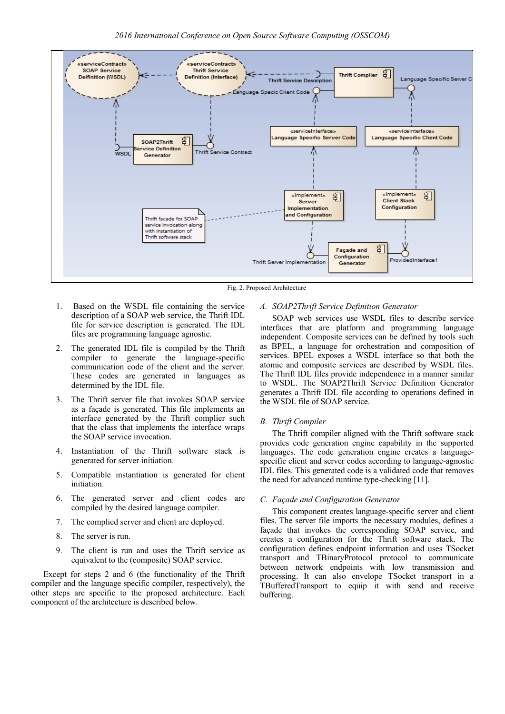

Fig. 2. Proposed Architecture

- 1. Based on the WSDL file containing the service description of a SOAP web service, the Thrift IDL file for service description is generated. The IDL files are programming language agnostic.
- 2. The generated IDL file is compiled by the Thrift compiler to generate the language-specific communication code of the client and the server. These codes are generated in languages as determined by the IDL file.
- 3. The Thrift server file that invokes SOAP service as a façade is generated. This file implements an interface generated by the Thrift complier such that the class that implements the interface wraps the SOAP service invocation.
- 4. Instantiation of the Thrift software stack is generated for server initiation.
- 5. Compatible instantiation is generated for client initiation.
- 6. The generated server and client codes are compiled by the desired language compiler.
- 7. The complied server and client are deployed.
- 8. The server is run.
- 9. The client is run and uses the Thrift service as equivalent to the (composite) SOAP service.

Except for steps 2 and 6 (the functionality of the Thrift compiler and the language specific compiler, respectively), the other steps are specific to the proposed architecture. Each component of the architecture is described below.

#### *A. SOAP2Thrift Service Definition Generator*

SOAP web services use WSDL files to describe service interfaces that are platform and programming language independent. Composite services can be defined by tools such as BPEL, a language for orchestration and composition of services. BPEL exposes a WSDL interface so that both the atomic and composite services are described by WSDL files. The Thrift IDL files provide independence in a manner similar to WSDL. The SOAP2Thrift Service Definition Generator generates a Thrift IDL file according to operations defined in the WSDL file of SOAP service.

#### *B. Thrift Compiler*

The Thrift compiler aligned with the Thrift software stack provides code generation engine capability in the supported languages. The code generation engine creates a languagespecific client and server codes according to language-agnostic IDL files. This generated code is a validated code that removes the need for advanced runtime type-checking [11].

#### *C. Façade and Configuration Generator*

This component creates language-specific server and client files. The server file imports the necessary modules, defines a façade that invokes the corresponding SOAP service, and creates a configuration for the Thrift software stack. The configuration defines endpoint information and uses TSocket transport and TBinaryProtocol protocol to communicate between network endpoints with low transmission and processing. It can also envelope TSocket transport in a TBufferedTransport to equip it with send and receive buffering.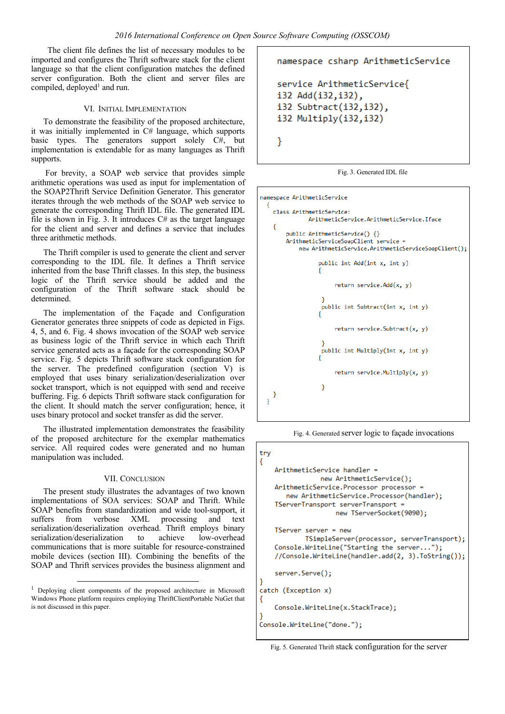The client file defines the list of necessary modules to be imported and configures the Thrift software stack for the client language so that the client configuration matches the defined server configuration. Both the client and server files are compiled, deployed<sup>1</sup> and run.

## VI. INITIAL IMPLEMENTATION

To demonstrate the feasibility of the proposed architecture, it was initially implemented in C# language, which supports basic types. The generators support solely C#, but implementation is extendable for as many languages as Thrift supports.

 For brevity, a SOAP web service that provides simple arithmetic operations was used as input for implementation of the SOAP2Thrift Service Definition Generator. This generator iterates through the web methods of the SOAP web service to generate the corresponding Thrift IDL file. The generated IDL file is shown in Fig. 3. It introduces  $C#$  as the target language for the client and server and defines a service that includes three arithmetic methods.

The Thrift compiler is used to generate the client and server corresponding to the IDL file. It defines a Thrift service inherited from the base Thrift classes. In this step, the business logic of the Thrift service should be added and the configuration of the Thrift software stack should be determined.

The implementation of the Façade and Configuration Generator generates three snippets of code as depicted in Figs. 4, 5, and 6. Fig. 4 shows invocation of the SOAP web service as business logic of the Thrift service in which each Thrift service generated acts as a façade for the corresponding SOAP service. Fig. 5 depicts Thrift software stack configuration for the server. The predefined configuration (section V) is employed that uses binary serialization/deserialization over socket transport, which is not equipped with send and receive buffering. Fig. 6 depicts Thrift software stack configuration for the client. It should match the server configuration; hence, it uses binary protocol and socket transfer as did the server.

The illustrated implementation demonstrates the feasibility of the proposed architecture for the exemplar mathematics service. All required codes were generated and no human manipulation was included.

# VII. CONCLUSION

The present study illustrates the advantages of two known implementations of SOA services: SOAP and Thrift. While SOAP benefits from standardization and wide tool-support, it suffers from verbose XML processing and text serialization/deserialization overhead. Thrift employs binary serialization/deserialization to achieve low-overhead communications that is more suitable for resource-constrained mobile devices (section III). Combining the benefits of the SOAP and Thrift services provides the business alignment and

```
namespace csharp ArithmeticService
service ArithmeticService{
i32 Add(i32,i32),
i32 Subtract(i32,i32),
i32 Multiply(i32,i32)
ł
```
Fig. 3. Generated IDL file

```
namespace ArithmeticService
 ₹.
    class ArithmeticService:
               ArithmeticService.ArithmeticService.Iface
    ł
        public ArithmeticService() {}
        ArithmeticServiceSoanClient service =
           new ArithmeticService.ArithmeticServiceSoapClient();
                  public int Add(int x, int y)
                  €
                       return service. Add(x, y)public int Subtract(int x, int y)
                       return service.Subtract(x, y)
                   public int Multiply(int x, int y)
                       return service.Multiply(x, y)
                   P
 ₹
```
Fig. 4. Generated server logic to façade invocations

```
try
₹
    ArithmeticService handler =
                new ArithmeticService();
    ArithmeticService.Processor processor =
      new ArithmeticService.Processor(handler);
    TServerTransport serverTransport =
                    new TServerSocket(9090);
    TServer server = new
            TSimpleServer(processor, serverTransport);
    Console.WriteLine("Starting the server...");
    //Console.WriteLine(handler.add(2, 3).ToString());
    server.Serve();
P,
catch (Exception x)
€
    Console.WriteLine(x.StackTrace);
Console.WriteLine("done.");
```
<sup>&</sup>lt;sup>1</sup> Deploying client components of the proposed architecture in Microsoft Windows Phone platform requires employing ThriftClientPortable NuGet that is not discussed in this paper.